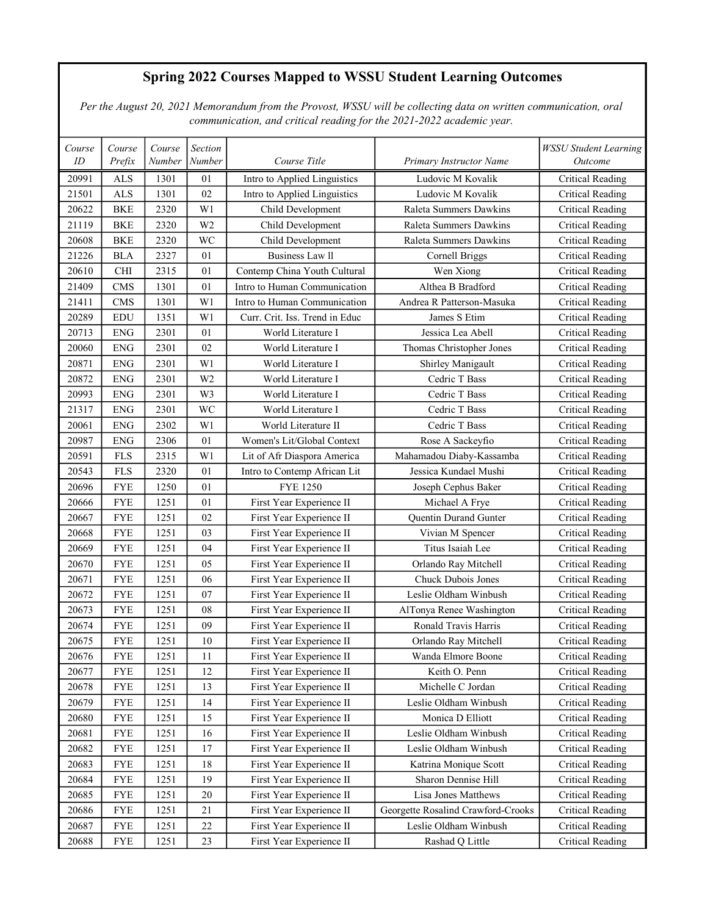## Spring 2022 Courses Mapped to WSSU Student Learning Outcomes

 Per the August 20, 2021 Memorandum from the Provost, WSSU will be collecting data on written communication, oral communication, and critical reading for the 2021-2022 academic year.

| Course | Course      | Course | <b>Section</b> |                                |                                    | <b>WSSU Student Learning</b> |
|--------|-------------|--------|----------------|--------------------------------|------------------------------------|------------------------------|
| ID     | Prefix      | Number | Number         | Course Title                   | Primary Instructor Name            | Outcome                      |
| 20991  | <b>ALS</b>  | 1301   | 01             | Intro to Applied Linguistics   | Ludovic M Kovalik                  | <b>Critical Reading</b>      |
| 21501  | <b>ALS</b>  | 1301   | 02             | Intro to Applied Linguistics   | Ludovic M Kovalik                  | <b>Critical Reading</b>      |
| 20622  | <b>BKE</b>  | 2320   | W1             | Child Development              | Raleta Summers Dawkins             | <b>Critical Reading</b>      |
| 21119  | <b>BKE</b>  | 2320   | W <sub>2</sub> | Child Development              | Raleta Summers Dawkins             | <b>Critical Reading</b>      |
| 20608  | <b>BKE</b>  | 2320   | WC             | Child Development              | Raleta Summers Dawkins             | <b>Critical Reading</b>      |
| 21226  | <b>BLA</b>  | 2327   | 01             | <b>Business Law II</b>         | Cornell Briggs                     | <b>Critical Reading</b>      |
| 20610  | <b>CHI</b>  | 2315   | 01             | Contemp China Youth Cultural   | Wen Xiong                          | <b>Critical Reading</b>      |
| 21409  | <b>CMS</b>  | 1301   | 01             | Intro to Human Communication   | Althea B Bradford                  | <b>Critical Reading</b>      |
| 21411  | <b>CMS</b>  | 1301   | W1             | Intro to Human Communication   | Andrea R Patterson-Masuka          | Critical Reading             |
| 20289  | <b>EDU</b>  | 1351   | W1             | Curr. Crit. Iss. Trend in Educ | James S Etim                       | <b>Critical Reading</b>      |
| 20713  | ${\rm ENG}$ | 2301   | 01             | World Literature I             | Jessica Lea Abell                  | <b>Critical Reading</b>      |
| 20060  | <b>ENG</b>  | 2301   | 02             | World Literature I             | Thomas Christopher Jones           | <b>Critical Reading</b>      |
| 20871  | <b>ENG</b>  | 2301   | W <sub>1</sub> | World Literature I             | Shirley Manigault                  | <b>Critical Reading</b>      |
| 20872  | <b>ENG</b>  | 2301   | W <sub>2</sub> | World Literature I             | Cedric T Bass                      | <b>Critical Reading</b>      |
| 20993  | ${\rm ENG}$ | 2301   | W3             | World Literature I             | Cedric T Bass                      | <b>Critical Reading</b>      |
| 21317  | <b>ENG</b>  | 2301   | WC             | World Literature I             | Cedric T Bass                      | <b>Critical Reading</b>      |
| 20061  | <b>ENG</b>  | 2302   | W1             | World Literature II            | Cedric T Bass                      | <b>Critical Reading</b>      |
| 20987  | <b>ENG</b>  | 2306   | 01             | Women's Lit/Global Context     | Rose A Sackeyfio                   | Critical Reading             |
| 20591  | <b>FLS</b>  | 2315   | W1             | Lit of Afr Diaspora America    | Mahamadou Diaby-Kassamba           | <b>Critical Reading</b>      |
| 20543  | <b>FLS</b>  | 2320   | 01             | Intro to Contemp African Lit   | Jessica Kundael Mushi              | <b>Critical Reading</b>      |
| 20696  | <b>FYE</b>  | 1250   | 01             | <b>FYE 1250</b>                | Joseph Cephus Baker                | <b>Critical Reading</b>      |
| 20666  | <b>FYE</b>  | 1251   | 01             | First Year Experience II       | Michael A Frye                     | <b>Critical Reading</b>      |
| 20667  | <b>FYE</b>  | 1251   | 02             | First Year Experience II       | Quentin Durand Gunter              | <b>Critical Reading</b>      |
| 20668  | <b>FYE</b>  | 1251   | 03             | First Year Experience II       | Vivian M Spencer                   | <b>Critical Reading</b>      |
| 20669  | <b>FYE</b>  | 1251   | 04             | First Year Experience II       | Titus Isaiah Lee                   | <b>Critical Reading</b>      |
| 20670  | <b>FYE</b>  | 1251   | 05             | First Year Experience II       | Orlando Ray Mitchell               | Critical Reading             |
| 20671  | <b>FYE</b>  | 1251   | 06             | First Year Experience II       | Chuck Dubois Jones                 | Critical Reading             |
| 20672  | <b>FYE</b>  | 1251   | 07             | First Year Experience II       | Leslie Oldham Winbush              | Critical Reading             |
| 20673  | <b>FYE</b>  | 1251   | 08             | First Year Experience II       | AlTonya Renee Washington           | <b>Critical Reading</b>      |
| 20674  | <b>FYE</b>  | 1251   | 09             | First Year Experience II       | Ronald Travis Harris               | <b>Critical Reading</b>      |
| 20675  | <b>FYE</b>  | 1251   | 10             | First Year Experience II       | Orlando Ray Mitchell               | <b>Critical Reading</b>      |
| 20676  | FYE         | 1251   | 11             | First Year Experience II       | Wanda Elmore Boone                 | Critical Reading             |
| 20677  | <b>FYE</b>  | 1251   | 12             | First Year Experience II       | Keith O. Penn                      | <b>Critical Reading</b>      |
| 20678  | <b>FYE</b>  | 1251   | 13             | First Year Experience II       | Michelle C Jordan                  | <b>Critical Reading</b>      |
| 20679  | <b>FYE</b>  | 1251   | 14             | First Year Experience II       | Leslie Oldham Winbush              | <b>Critical Reading</b>      |
| 20680  | <b>FYE</b>  | 1251   | 15             | First Year Experience II       | Monica D Elliott                   | <b>Critical Reading</b>      |
| 20681  | <b>FYE</b>  | 1251   | 16             | First Year Experience II       | Leslie Oldham Winbush              | <b>Critical Reading</b>      |
| 20682  | <b>FYE</b>  | 1251   | 17             | First Year Experience II       | Leslie Oldham Winbush              | <b>Critical Reading</b>      |
| 20683  | <b>FYE</b>  | 1251   | 18             | First Year Experience II       | Katrina Monique Scott              | <b>Critical Reading</b>      |
| 20684  | <b>FYE</b>  | 1251   | 19             | First Year Experience II       | Sharon Dennise Hill                | <b>Critical Reading</b>      |
| 20685  | FYE         | 1251   | 20             | First Year Experience II       | Lisa Jones Matthews                | Critical Reading             |
| 20686  | <b>FYE</b>  | 1251   | 21             | First Year Experience II       | Georgette Rosalind Crawford-Crooks | <b>Critical Reading</b>      |
| 20687  | <b>FYE</b>  | 1251   | $22\,$         | First Year Experience II       | Leslie Oldham Winbush              | <b>Critical Reading</b>      |
| 20688  | <b>FYE</b>  | 1251   | 23             | First Year Experience II       | Rashad Q Little                    | <b>Critical Reading</b>      |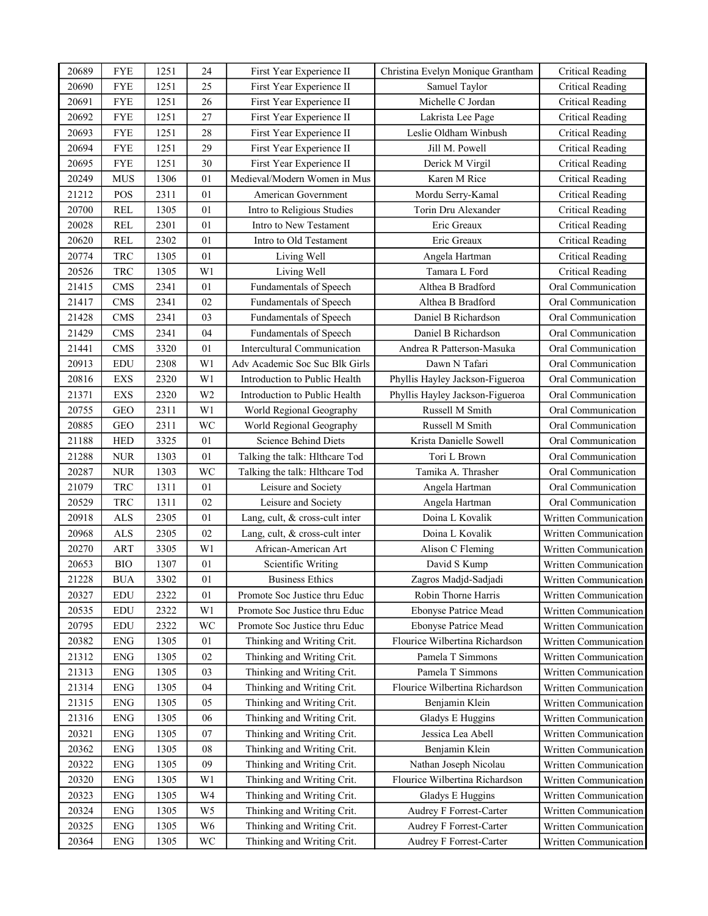| 20689 | <b>FYE</b>                  | 1251 | 24             | First Year Experience II       | Christina Evelyn Monique Grantham | <b>Critical Reading</b> |
|-------|-----------------------------|------|----------------|--------------------------------|-----------------------------------|-------------------------|
| 20690 | <b>FYE</b>                  | 1251 | 25             | First Year Experience II       | Samuel Taylor                     | <b>Critical Reading</b> |
| 20691 | <b>FYE</b>                  | 1251 | 26             | First Year Experience II       | Michelle C Jordan                 | <b>Critical Reading</b> |
| 20692 | <b>FYE</b>                  | 1251 | 27             | First Year Experience II       | Lakrista Lee Page                 | <b>Critical Reading</b> |
| 20693 | <b>FYE</b>                  | 1251 | 28             | First Year Experience II       | Leslie Oldham Winbush             | Critical Reading        |
| 20694 | <b>FYE</b>                  | 1251 | 29             | First Year Experience II       | Jill M. Powell                    | <b>Critical Reading</b> |
| 20695 | <b>FYE</b>                  | 1251 | 30             | First Year Experience II       | Derick M Virgil                   | <b>Critical Reading</b> |
| 20249 | <b>MUS</b>                  | 1306 | 01             | Medieval/Modern Women in Mus   | Karen M Rice                      | <b>Critical Reading</b> |
| 21212 | POS                         | 2311 | 01             | American Government            | Mordu Serry-Kamal                 | <b>Critical Reading</b> |
| 20700 | REL                         | 1305 | 01             | Intro to Religious Studies     | Torin Dru Alexander               | <b>Critical Reading</b> |
| 20028 | <b>REL</b>                  | 2301 | 01             | Intro to New Testament         | Eric Greaux                       | <b>Critical Reading</b> |
| 20620 | REL                         | 2302 | 01             | Intro to Old Testament         | Eric Greaux                       | <b>Critical Reading</b> |
| 20774 | <b>TRC</b>                  | 1305 | 01             | Living Well                    | Angela Hartman                    | Critical Reading        |
| 20526 | <b>TRC</b>                  | 1305 | W <sub>1</sub> | Living Well                    | Tamara L Ford                     | <b>Critical Reading</b> |
| 21415 | <b>CMS</b>                  | 2341 | 01             | Fundamentals of Speech         | Althea B Bradford                 | Oral Communication      |
| 21417 | <b>CMS</b>                  | 2341 | 02             | Fundamentals of Speech         | Althea B Bradford                 | Oral Communication      |
| 21428 | <b>CMS</b>                  | 2341 | 03             | Fundamentals of Speech         | Daniel B Richardson               | Oral Communication      |
| 21429 | CMS                         | 2341 | 04             | Fundamentals of Speech         | Daniel B Richardson               | Oral Communication      |
| 21441 | <b>CMS</b>                  | 3320 | 01             | Intercultural Communication    | Andrea R Patterson-Masuka         | Oral Communication      |
| 20913 | EDU                         | 2308 | W <sub>1</sub> | Adv Academic Soc Suc Blk Girls | Dawn N Tafari                     | Oral Communication      |
| 20816 | EXS                         | 2320 | W <sub>1</sub> | Introduction to Public Health  | Phyllis Hayley Jackson-Figueroa   | Oral Communication      |
| 21371 | <b>EXS</b>                  | 2320 | W <sub>2</sub> | Introduction to Public Health  | Phyllis Hayley Jackson-Figueroa   | Oral Communication      |
| 20755 | <b>GEO</b>                  | 2311 | W1             | World Regional Geography       | Russell M Smith                   | Oral Communication      |
| 20885 | <b>GEO</b>                  | 2311 | WC             | World Regional Geography       | Russell M Smith                   | Oral Communication      |
| 21188 | <b>HED</b>                  | 3325 | 01             | Science Behind Diets           | Krista Danielle Sowell            | Oral Communication      |
| 21288 | <b>NUR</b>                  | 1303 | 01             | Talking the talk: Hlthcare Tod | Tori L Brown                      | Oral Communication      |
| 20287 | <b>NUR</b>                  | 1303 | WC             | Talking the talk: Hlthcare Tod | Tamika A. Thrasher                | Oral Communication      |
| 21079 | TRC                         | 1311 | 01             | Leisure and Society            | Angela Hartman                    | Oral Communication      |
| 20529 | TRC                         | 1311 | 02             | Leisure and Society            | Angela Hartman                    | Oral Communication      |
| 20918 | <b>ALS</b>                  | 2305 | 01             | Lang, cult, & cross-cult inter | Doina L Kovalik                   | Written Communication   |
| 20968 | $\ensuremath{\mathbf{ALS}}$ | 2305 | 02             | Lang, cult, & cross-cult inter | Doina L Kovalik                   | Written Communication   |
| 20270 | ART                         | 3305 | W1             | African-American Art           | Alison C Fleming                  | Written Communication   |
| 20653 | <b>BIO</b>                  | 1307 | 01             | Scientific Writing             | David S Kump                      | Written Communication   |
| 21228 | ${\rm BUA}$                 | 3302 | 01             | <b>Business Ethics</b>         | Zagros Madjd-Sadjadi              | Written Communication   |
| 20327 | EDU                         | 2322 | 01             | Promote Soc Justice thru Educ  | Robin Thorne Harris               | Written Communication   |
| 20535 | EDU                         | 2322 | W1             | Promote Soc Justice thru Educ  | Ebonyse Patrice Mead              | Written Communication   |
| 20795 | EDU                         | 2322 | WC             | Promote Soc Justice thru Educ  | Ebonyse Patrice Mead              | Written Communication   |
| 20382 | ${\rm ENG}$                 | 1305 | $01\,$         | Thinking and Writing Crit.     | Flourice Wilbertina Richardson    | Written Communication   |
| 21312 | <b>ENG</b>                  | 1305 | 02             | Thinking and Writing Crit.     | Pamela T Simmons                  | Written Communication   |
| 21313 | <b>ENG</b>                  | 1305 | 03             | Thinking and Writing Crit.     | Pamela T Simmons                  | Written Communication   |
| 21314 | ${\rm ENG}$                 | 1305 | 04             | Thinking and Writing Crit.     | Flourice Wilbertina Richardson    | Written Communication   |
| 21315 | <b>ENG</b>                  | 1305 | 05             | Thinking and Writing Crit.     | Benjamin Klein                    | Written Communication   |
| 21316 | ENG                         | 1305 | 06             | Thinking and Writing Crit.     | Gladys E Huggins                  | Written Communication   |
| 20321 | ${\rm ENG}$                 | 1305 | 07             | Thinking and Writing Crit.     | Jessica Lea Abell                 | Written Communication   |
| 20362 | ${\rm ENG}$                 | 1305 | 08             | Thinking and Writing Crit.     | Benjamin Klein                    | Written Communication   |
| 20322 | ${\rm ENG}$                 | 1305 | 09             | Thinking and Writing Crit.     | Nathan Joseph Nicolau             | Written Communication   |
| 20320 | ${\rm ENG}$                 | 1305 | W1             | Thinking and Writing Crit.     | Flourice Wilbertina Richardson    | Written Communication   |
| 20323 | <b>ENG</b>                  | 1305 | W4             | Thinking and Writing Crit.     | Gladys E Huggins                  | Written Communication   |
| 20324 | ${\rm ENG}$                 | 1305 | W <sub>5</sub> | Thinking and Writing Crit.     | Audrey F Forrest-Carter           | Written Communication   |
| 20325 | <b>ENG</b>                  | 1305 | W <sub>6</sub> | Thinking and Writing Crit.     | Audrey F Forrest-Carter           | Written Communication   |
| 20364 | ${\rm ENG}$                 | 1305 | WC             | Thinking and Writing Crit.     | Audrey F Forrest-Carter           | Written Communication   |
|       |                             |      |                |                                |                                   |                         |